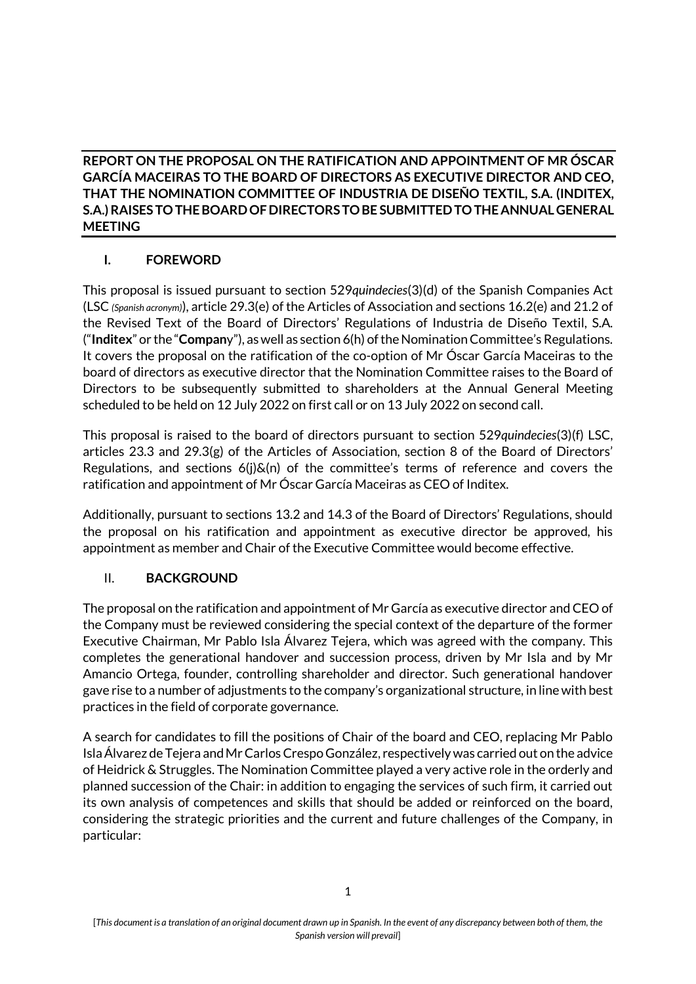## **REPORT ON THE PROPOSAL ON THE RATIFICATION AND APPOINTMENT OF MR ÓSCAR GARCÍA MACEIRAS TO THE BOARD OF DIRECTORS AS EXECUTIVE DIRECTOR AND CEO, THAT THE NOMINATION COMMITTEE OF INDUSTRIA DE DISEÑO TEXTIL, S.A. (INDITEX, S.A.) RAISES TO THE BOARD OF DIRECTORS TO BE SUBMITTED TO THE ANNUAL GENERAL MEETING**

# **I. FOREWORD**

This proposal is issued pursuant to section 529*quindecies*(3)(d) of the Spanish Companies Act (LSC *(Spanish acronym)*), article 29.3(e) of the Articles of Association and sections 16.2(e) and 21.2 of the Revised Text of the Board of Directors' Regulations of Industria de Diseño Textil, S.A. ("**Inditex**" or the "**Compan**y"), as well as section 6(h) of the Nomination Committee's Regulations. It covers the proposal on the ratification of the co-option of Mr Óscar García Maceiras to the board of directors as executive director that the Nomination Committee raises to the Board of Directors to be subsequently submitted to shareholders at the Annual General Meeting scheduled to be held on 12 July 2022 on first call or on 13 July 2022 on second call.

This proposal is raised to the board of directors pursuant to section 529*quindecies*(3)(f) LSC, articles 23.3 and 29.3(g) of the Articles of Association, section 8 of the Board of Directors' Regulations, and sections  $6(j)$  $\&(n)$  of the committee's terms of reference and covers the ratification and appointment of Mr Óscar García Maceiras as CEO of Inditex.

Additionally, pursuant to sections 13.2 and 14.3 of the Board of Directors' Regulations, should the proposal on his ratification and appointment as executive director be approved, his appointment as member and Chair of the Executive Committee would become effective.

## II. **BACKGROUND**

The proposal on the ratification and appointment of Mr García as executive director and CEO of the Company must be reviewed considering the special context of the departure of the former Executive Chairman, Mr Pablo Isla Álvarez Tejera, which was agreed with the company. This completes the generational handover and succession process, driven by Mr Isla and by Mr Amancio Ortega, founder, controlling shareholder and director. Such generational handover gave rise to a number of adjustments to the company's organizational structure, in line with best practices in the field of corporate governance.

A search for candidates to fill the positions of Chair of the board and CEO, replacing Mr Pablo Isla Álvarez de Tejera and Mr Carlos Crespo González, respectively was carried out on the advice of Heidrick & Struggles. The Nomination Committee played a very active role in the orderly and planned succession of the Chair: in addition to engaging the services of such firm, it carried out its own analysis of competences and skills that should be added or reinforced on the board, considering the strategic priorities and the current and future challenges of the Company, in particular: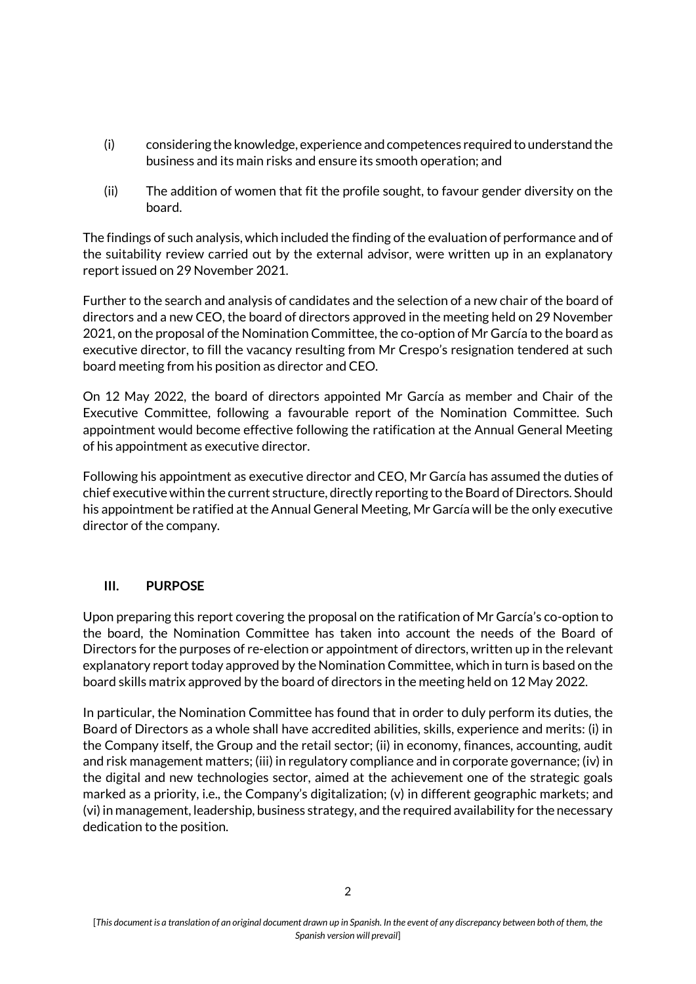- (i) considering the knowledge, experience and competences required to understand the business and its main risks and ensure its smooth operation; and
- (ii) The addition of women that fit the profile sought, to favour gender diversity on the board.

The findings of such analysis, which included the finding of the evaluation of performance and of the suitability review carried out by the external advisor, were written up in an explanatory report issued on 29 November 2021.

Further to the search and analysis of candidates and the selection of a new chair of the board of directors and a new CEO, the board of directors approved in the meeting held on 29 November 2021, on the proposal of the Nomination Committee, the co-option of Mr García to the board as executive director, to fill the vacancy resulting from Mr Crespo's resignation tendered at such board meeting from his position as director and CEO.

On 12 May 2022, the board of directors appointed Mr García as member and Chair of the Executive Committee, following a favourable report of the Nomination Committee. Such appointment would become effective following the ratification at the Annual General Meeting of his appointment as executive director.

Following his appointment as executive director and CEO, Mr García has assumed the duties of chief executive within the current structure, directly reporting to the Board of Directors. Should his appointment be ratified at the Annual General Meeting, Mr García will be the only executive director of the company.

## **III. PURPOSE**

Upon preparing this report covering the proposal on the ratification of Mr García's co-option to the board, the Nomination Committee has taken into account the needs of the Board of Directors for the purposes of re-election or appointment of directors, written up in the relevant explanatory report today approved by the Nomination Committee, which in turn is based on the board skills matrix approved by the board of directors in the meeting held on 12 May 2022.

In particular, the Nomination Committee has found that in order to duly perform its duties, the Board of Directors as a whole shall have accredited abilities, skills, experience and merits: (i) in the Company itself, the Group and the retail sector; (ii) in economy, finances, accounting, audit and risk management matters; (iii) in regulatory compliance and in corporate governance; (iv) in the digital and new technologies sector, aimed at the achievement one of the strategic goals marked as a priority, i.e., the Company's digitalization;  $(v)$  in different geographic markets; and (vi) in management, leadership, business strategy, and the required availability for the necessary dedication to the position.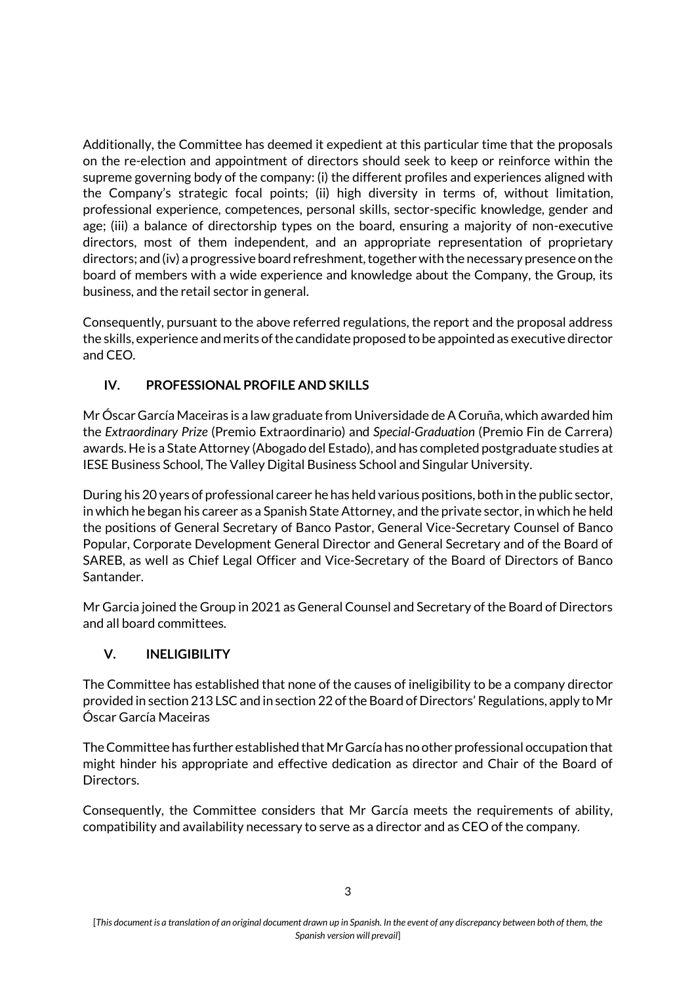Additionally, the Committee has deemed it expedient at this particular time that the proposals on the re-election and appointment of directors should seek to keep or reinforce within the supreme governing body of the company: (i) the different profiles and experiences aligned with the Company's strategic focal points; (ii) high diversity in terms of, without limitation, professional experience, competences, personal skills, sector-specific knowledge, gender and age; (iii) a balance of directorship types on the board, ensuring a majority of non-executive directors, most of them independent, and an appropriate representation of proprietary directors; and (iv) a progressive board refreshment, together with the necessary presence on the board of members with a wide experience and knowledge about the Company, the Group, its business, and the retail sector in general.

Consequently, pursuant to the above referred regulations, the report and the proposal address the skills, experience and merits of the candidate proposed to be appointed as executive director and CEO.

# **IV. PROFESSIONAL PROFILE AND SKILLS**

Mr Óscar García Maceiras is a law graduate from Universidade de A Coruña, which awarded him the *Extraordinary Prize* (Premio Extraordinario) and *Special-Graduation* (Premio Fin de Carrera) awards. He is a State Attorney (Abogado del Estado), and has completed postgraduate studies at IESE Business School, The Valley Digital Business School and Singular University.

During his 20 years of professional career he has held various positions, both in the public sector, in which he began his career as a Spanish State Attorney, and the private sector, in which he held the positions of General Secretary of Banco Pastor, General Vice-Secretary Counsel of Banco Popular, Corporate Development General Director and General Secretary and of the Board of SAREB, as well as Chief Legal Officer and Vice-Secretary of the Board of Directors of Banco Santander.

Mr Garcia joined the Group in 2021 as General Counsel and Secretary of the Board of Directors and all board committees.

# **V. INELIGIBILITY**

The Committee has established that none of the causes of ineligibility to be a company director provided in section 213 LSC and in section 22 of the Board of Directors' Regulations, apply to Mr Óscar García Maceiras

The Committee has further established that Mr García has no other professional occupation that might hinder his appropriate and effective dedication as director and Chair of the Board of Directors.

Consequently, the Committee considers that Mr García meets the requirements of ability, compatibility and availability necessary to serve as a director and as CEO of the company.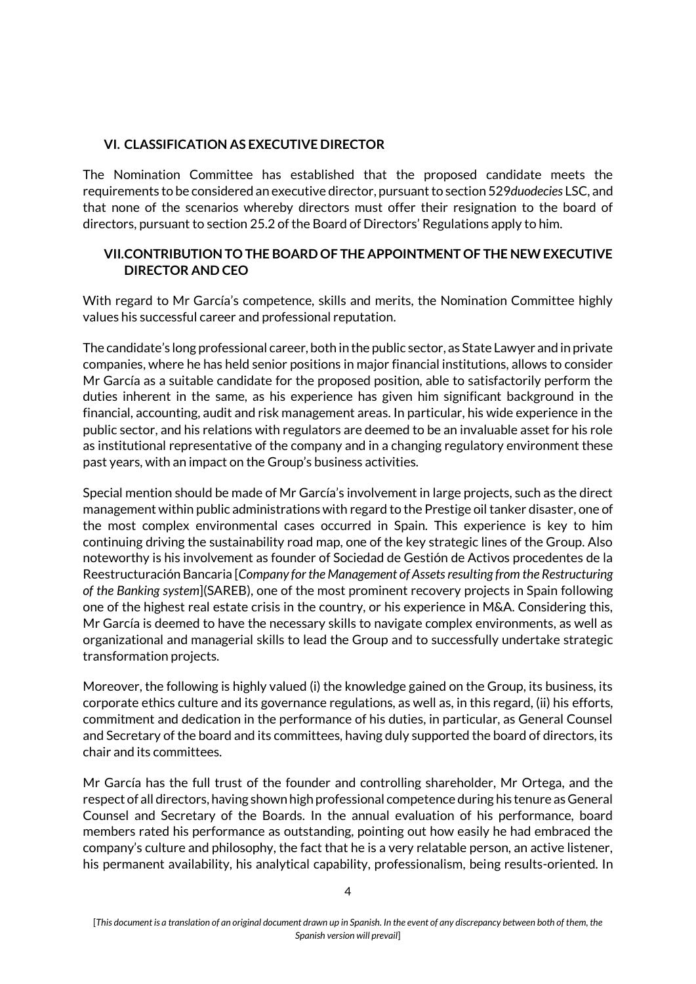### **VI. CLASSIFICATION AS EXECUTIVE DIRECTOR**

The Nomination Committee has established that the proposed candidate meets the requirements to be considered an executive director, pursuant to section 529*duodecies* LSC, and that none of the scenarios whereby directors must offer their resignation to the board of directors, pursuant to section 25.2 of the Board of Directors' Regulations apply to him.

### **VII.CONTRIBUTION TO THE BOARD OF THE APPOINTMENT OF THE NEW EXECUTIVE DIRECTOR AND CEO**

With regard to Mr García's competence, skills and merits, the Nomination Committee highly values his successful career and professional reputation.

The candidate's long professional career, both in the public sector, as State Lawyer and in private companies, where he has held senior positions in major financial institutions, allows to consider Mr García as a suitable candidate for the proposed position, able to satisfactorily perform the duties inherent in the same, as his experience has given him significant background in the financial, accounting, audit and risk management areas. In particular, his wide experience in the public sector, and his relations with regulators are deemed to be an invaluable asset for his role as institutional representative of the company and in a changing regulatory environment these past years, with an impact on the Group's business activities.

Special mention should be made of Mr García's involvement in large projects, such as the direct management within public administrations with regard to the Prestige oil tanker disaster, one of the most complex environmental cases occurred in Spain. This experience is key to him continuing driving the sustainability road map, one of the key strategic lines of the Group. Also noteworthy is his involvement as founder of Sociedad de Gestión de Activos procedentes de la Reestructuración Bancaria [*Company for the Management of Assets resulting from the Restructuring of the Banking system*](SAREB), one of the most prominent recovery projects in Spain following one of the highest real estate crisis in the country, or his experience in M&A. Considering this, Mr García is deemed to have the necessary skills to navigate complex environments, as well as organizational and managerial skills to lead the Group and to successfully undertake strategic transformation projects.

Moreover, the following is highly valued (i) the knowledge gained on the Group, its business, its corporate ethics culture and its governance regulations, as well as, in this regard, (ii) his efforts, commitment and dedication in the performance of his duties, in particular, as General Counsel and Secretary of the board and its committees, having duly supported the board of directors, its chair and its committees.

Mr García has the full trust of the founder and controlling shareholder, Mr Ortega, and the respect of all directors, having shown high professional competence during his tenure as General Counsel and Secretary of the Boards. In the annual evaluation of his performance, board members rated his performance as outstanding, pointing out how easily he had embraced the company's culture and philosophy, the fact that he is a very relatable person, an active listener, his permanent availability, his analytical capability, professionalism, being results-oriented. In